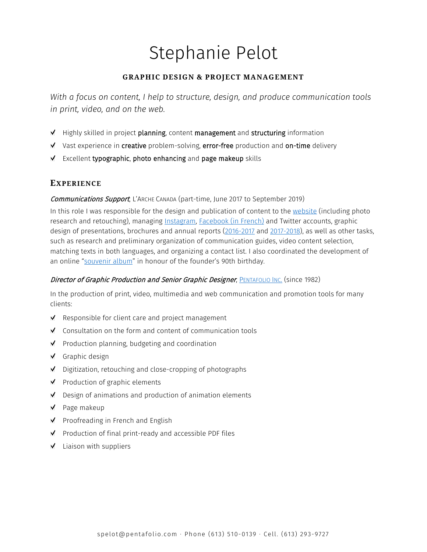# Stephanie Pelot

# **GRAPHIC DESIGN & PROJECT MANAGEMENT**

*With a focus on content, I help to structure, design, and produce communication tools in print, video, and on the web.* 

- $M$  Highly skilled in project planning, content management and structuring information
- $\mathbf{v}$  Vast experience in creative problem-solving, error-free production and on-time delivery
- $\leq$  Excellent typographic, photo enhancing and page makeup skills

# **EXPERIENCE**

#### Communications Support, L'ARCHE CANADA (part-time, June 2017 to September 2019)

In this role I was responsible for the design and publication of content to the [website](https://www.larche.ca/en/blog) (including photo research and retouching), managing [Instagram,](https://www.instagram.com/larche.canada/) **Facebook (in French)** and Twitter accounts, graphic design of presentations, brochures and annual reports [\(2016-2017](https://issuu.com/larchecanada/docs/larche_canada_annual_report_2016-20?e=30969088/53180058) and [2017-2018\)](https://issuu.com/larchecanada/docs/ac-annual-report-2017-2018-final-is), as well as other tasks, such as research and preliminary organization of communication guides, video content selection, matching texts in both languages, and organizing a contact list. I also coordinated the development of an online ["souvenir album"](https://www.larche.ca/jean-vanier-is-90) in honour of the founder's 90th birthday.

#### Director of Graphic Production and Senior Graphic Designer, **PENTAFOLIO INC.** (since 1982)

In the production of print, video, multimedia and web communication and promotion tools for many clients:

- Responsible for client care and project management
- Consultation on the form and content of communication tools
- $\blacksquare$  Production planning, budgeting and coordination
- Graphic design
- $\blacksquare$  Digitization, retouching and close-cropping of photographs
- $\blacksquare$  Production of graphic elements
- $\blacksquare$  Design of animations and production of animation elements
- $\blacktriangleright$  Page makeup
- $\blacksquare$  Proofreading in French and English
- $\blacksquare$  Production of final print-ready and accessible PDF files
- $\blacksquare$  Liaison with suppliers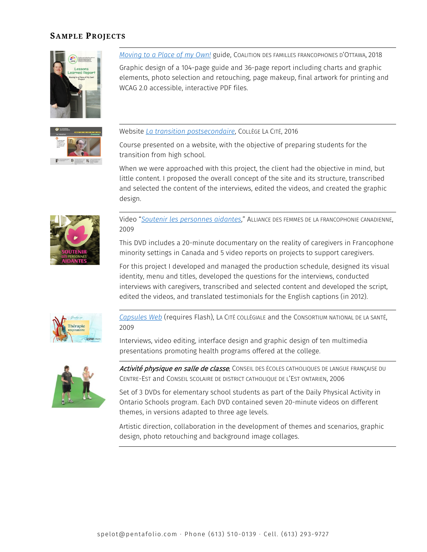# **SAMPLE PROJECTS**





*[Moving to a Place of my Own!](http://media.pentafolio.com/design/CFFO-Guide-logement-EN.pdf)* guide, COALITION DES FAMILLES FRANCOPHONES D'OTTAWA, 2018 Graphic design of a 104-page guide and 36-page report including charts and graphic elements, photo selection and retouching, page makeup, final artwork for printing and WCAG 2.0 accessible, interactive PDF files.

Website *[La transition postsecondaire](http://transitionpostsecondaire.collegelacite.ca/)*, COLLÈGE LA CITÉ, 2016

Course presented on a website, with the objective of preparing students for the transition from high school.

When we were approached with this project, the client had the objective in mind, but little content. I proposed the overall concept of the site and its structure, transcribed and selected the content of the interviews, edited the videos, and created the graphic design.



Video "*[Soutenir les personnes aidantes](https://vimeo.com/110818304)*," ALLIANCE DES FEMMES DE LA FRANCOPHONIE CANADIENNE, 2009

This DVD includes a 20-minute documentary on the reality of caregivers in Francophone minority settings in Canada and 5 video reports on projects to support caregivers.

For this project I developed and managed the production schedule, designed its visual identity, menu and titles, developed the questions for the interviews, conducted interviews with caregivers, transcribed and selected content and developed the script, edited the videos, and translated testimonials for the English captions (in 2012).



*[Capsules Web](http://www.media.pentafolio.com/video/lacitecapsules/index.html)* (requires Flash), LA CITÉ COLLÉGIALE and the CONSORTIUM NATIONAL DE LA SANTÉ, 2009

Interviews, video editing, interface design and graphic design of ten multimedia presentations promoting health programs offered at the college.



Activité physique en salle de classe, Conseil des écoles catholiques de langue française du CENTRE-EST and CONSEIL SCOLAIRE DE DISTRICT CATHOLIQUE DE L'EST ONTARIEN, 2006

Set of 3 DVDs for elementary school students as part of the Daily Physical Activity in Ontario Schools program. Each DVD contained seven 20-minute videos on different themes, in versions adapted to three age levels.

Artistic direction, collaboration in the development of themes and scenarios, graphic design, photo retouching and background image collages.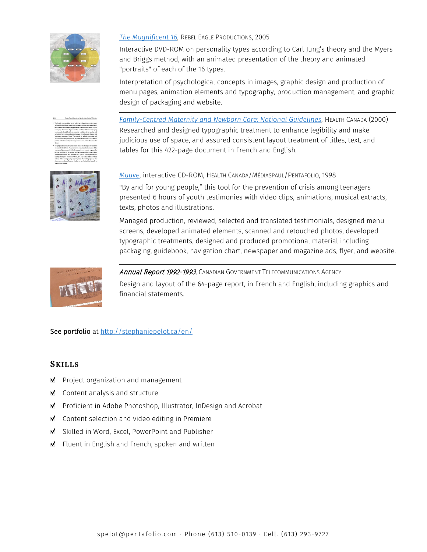

#### *[The Magnificent 16](http://stephaniepelot.ca/en/portfolio/370-magnificent-16/)*, REBEL EAGLE PRODUCTIONS, 2005

Interactive DVD-ROM on personality types according to Carl Jung's theory and the Myers and Briggs method, with an animated presentation of the theory and animated "portraits" of each of the 16 types.

Interpretation of psychological concepts in images, graphic design and production of menu pages, animation elements and typography, production management, and graphic design of packaging and website.

*[Family-Centred Maternity and Newborn Care: National Guidelines](http://media.pentafolio.com/design/FCMC.pdf)*, HEALTH CANADA (2000) Researched and designed typographic treatment to enhance legibility and make judicious use of space, and assured consistent layout treatment of titles, text, and tables for this 422-page document in French and English.



#### *[Mauve](https://vimeo.com/209927084)*, interactive CD-ROM, HEALTH CANADA/MÉDIASPAUL/PENTAFOLIO, 1998

"By and for young people," this tool for the prevention of crisis among teenagers presented 6 hours of youth testimonies with video clips, animations, musical extracts, texts, photos and illustrations.

Managed production, reviewed, selected and translated testimonials, designed menu screens, developed animated elements, scanned and retouched photos, developed typographic treatments, designed and produced promotional material including packaging, guidebook, navigation chart, newspaper and magazine ads, flyer, and website.



Annual Report 1992-1993, CANADIAN GOVERNMENT TELECOMMUNICATIONS AGENCY

Design and layout of the 64-page report, in French and English, including graphics and financial statements.

# See portfolio at<http://stephaniepelot.ca/en/>

# **SKILLS**

- $\blacksquare$  Project organization and management
- $\blacksquare$  Content analysis and structure
- Proficient in Adobe Photoshop, Illustrator, InDesign and Acrobat
- $\blacksquare$  Content selection and video editing in Premiere
- Skilled in Word, Excel, PowerPoint and Publisher
- $\blacksquare$  Fluent in English and French, spoken and written